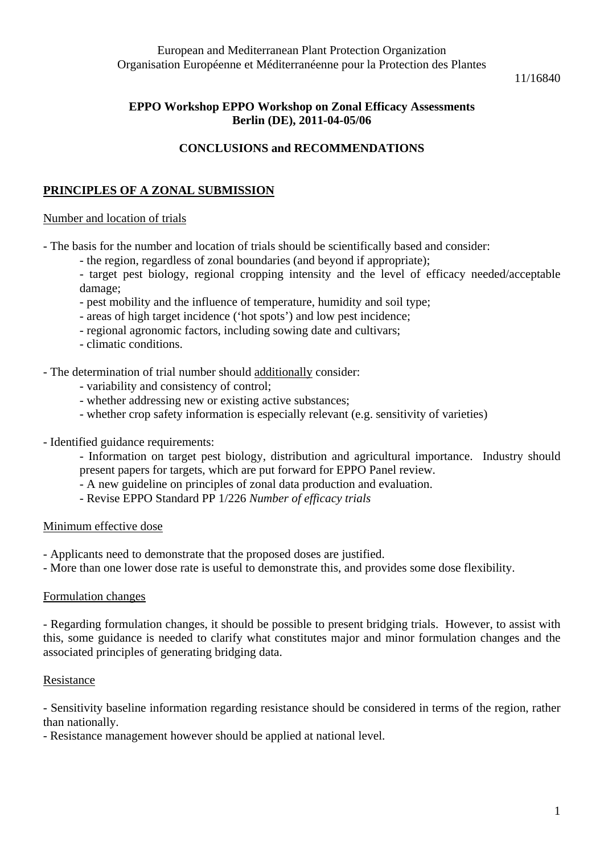European and Mediterranean Plant Protection Organization Organisation Européenne et Méditerranéenne pour la Protection des Plantes

11/16840

# **EPPO Workshop EPPO Workshop on Zonal Efficacy Assessments Berlin (DE), 2011-04-05/06**

# **CONCLUSIONS and RECOMMENDATIONS**

# **PRINCIPLES OF A ZONAL SUBMISSION**

### Number and location of trials

- The basis for the number and location of trials should be scientifically based and consider:

- the region, regardless of zonal boundaries (and beyond if appropriate);

- target pest biology, regional cropping intensity and the level of efficacy needed/acceptable damage;

- pest mobility and the influence of temperature, humidity and soil type;
- areas of high target incidence ('hot spots') and low pest incidence;
- regional agronomic factors, including sowing date and cultivars;
- climatic conditions.

## - The determination of trial number should additionally consider:

- variability and consistency of control;
- whether addressing new or existing active substances;
- whether crop safety information is especially relevant (e.g. sensitivity of varieties)
- Identified guidance requirements:
	- Information on target pest biology, distribution and agricultural importance. Industry should present papers for targets, which are put forward for EPPO Panel review.
	- A new guideline on principles of zonal data production and evaluation.
	- Revise EPPO Standard PP 1/226 *Number of efficacy trials*

### Minimum effective dose

- Applicants need to demonstrate that the proposed doses are justified.
- More than one lower dose rate is useful to demonstrate this, and provides some dose flexibility.

### Formulation changes

- Regarding formulation changes, it should be possible to present bridging trials. However, to assist with this, some guidance is needed to clarify what constitutes major and minor formulation changes and the associated principles of generating bridging data.

### Resistance

- Sensitivity baseline information regarding resistance should be considered in terms of the region, rather than nationally.

- Resistance management however should be applied at national level.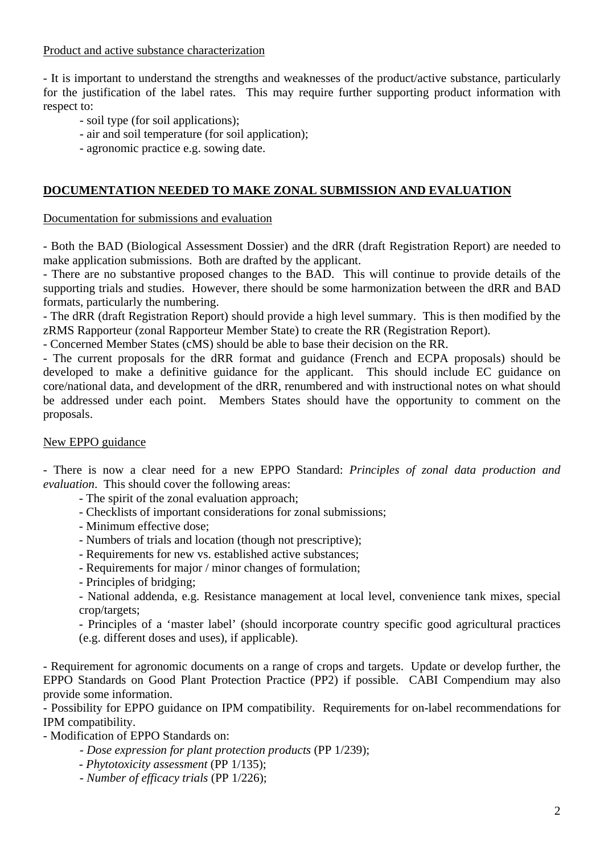Product and active substance characterization

- It is important to understand the strengths and weaknesses of the product/active substance, particularly for the justification of the label rates. This may require further supporting product information with respect to:

- soil type (for soil applications);
- air and soil temperature (for soil application);
- agronomic practice e.g. sowing date.

### **DOCUMENTATION NEEDED TO MAKE ZONAL SUBMISSION AND EVALUATION**

#### Documentation for submissions and evaluation

- Both the BAD (Biological Assessment Dossier) and the dRR (draft Registration Report) are needed to make application submissions. Both are drafted by the applicant.

- There are no substantive proposed changes to the BAD. This will continue to provide details of the supporting trials and studies. However, there should be some harmonization between the dRR and BAD formats, particularly the numbering.

- The dRR (draft Registration Report) should provide a high level summary. This is then modified by the zRMS Rapporteur (zonal Rapporteur Member State) to create the RR (Registration Report).

- Concerned Member States (cMS) should be able to base their decision on the RR.

- The current proposals for the dRR format and guidance (French and ECPA proposals) should be developed to make a definitive guidance for the applicant. This should include EC guidance on core/national data, and development of the dRR, renumbered and with instructional notes on what should be addressed under each point. Members States should have the opportunity to comment on the proposals.

#### New EPPO guidance

- There is now a clear need for a new EPPO Standard: *Principles of zonal data production and evaluation*. This should cover the following areas:

- The spirit of the zonal evaluation approach;
- Checklists of important considerations for zonal submissions;
- Minimum effective dose;
- Numbers of trials and location (though not prescriptive);
- Requirements for new vs. established active substances;
- Requirements for major / minor changes of formulation;
- Principles of bridging;

- National addenda, e.g. Resistance management at local level, convenience tank mixes, special crop/targets;

- Principles of a 'master label' (should incorporate country specific good agricultural practices (e.g. different doses and uses), if applicable).

- Requirement for agronomic documents on a range of crops and targets. Update or develop further, the EPPO Standards on Good Plant Protection Practice (PP2) if possible. CABI Compendium may also provide some information.

- Possibility for EPPO guidance on IPM compatibility. Requirements for on-label recommendations for IPM compatibility.

- Modification of EPPO Standards on:

- *Dose expression for plant protection products* (PP 1/239);
- *Phytotoxicity assessment* (PP 1/135);
- *Number of efficacy trials* (PP 1/226);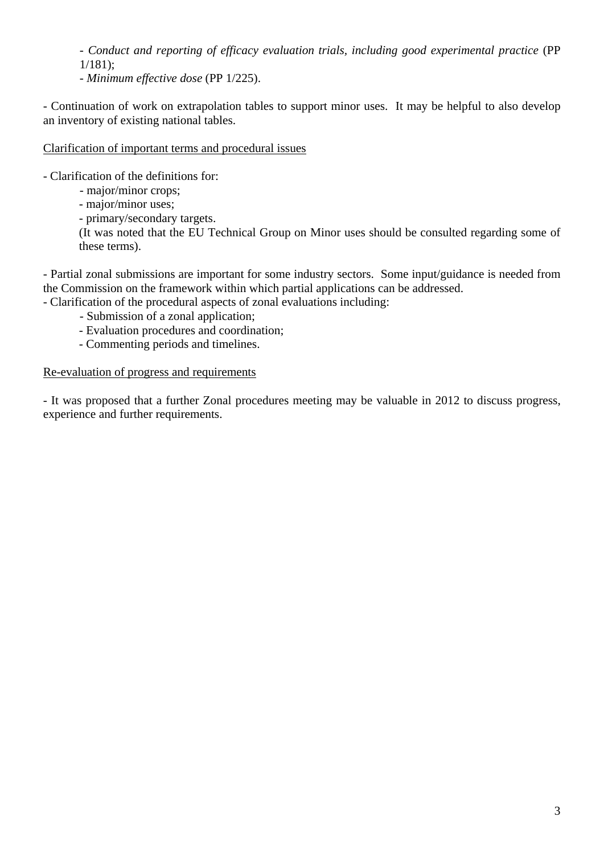- *Conduct and reporting of efficacy evaluation trials, including good experimental practice* (PP 1/181);

- *Minimum effective dose* (PP 1/225).

- Continuation of work on extrapolation tables to support minor uses. It may be helpful to also develop an inventory of existing national tables.

Clarification of important terms and procedural issues

- Clarification of the definitions for:

- major/minor crops;
- major/minor uses;

- primary/secondary targets.

(It was noted that the EU Technical Group on Minor uses should be consulted regarding some of these terms).

- Partial zonal submissions are important for some industry sectors. Some input/guidance is needed from the Commission on the framework within which partial applications can be addressed.

- Clarification of the procedural aspects of zonal evaluations including:

- Submission of a zonal application;
- Evaluation procedures and coordination;
- Commenting periods and timelines.

### Re-evaluation of progress and requirements

- It was proposed that a further Zonal procedures meeting may be valuable in 2012 to discuss progress, experience and further requirements.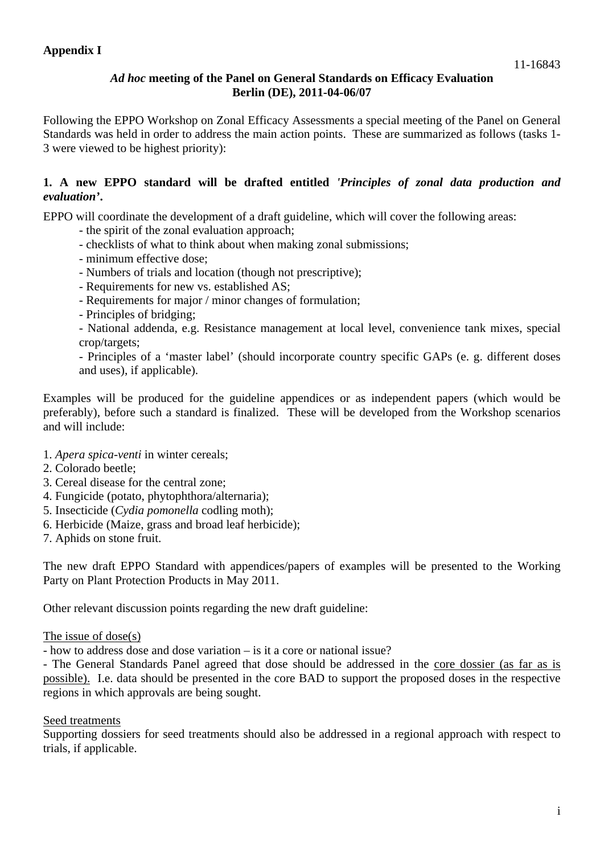## *Ad hoc* **meeting of the Panel on General Standards on Efficacy Evaluation Berlin (DE), 2011-04-06/07**

Following the EPPO Workshop on Zonal Efficacy Assessments a special meeting of the Panel on General Standards was held in order to address the main action points. These are summarized as follows (tasks 1- 3 were viewed to be highest priority):

## **1. A new EPPO standard will be drafted entitled** *'Principles of zonal data production and evaluation'***.**

EPPO will coordinate the development of a draft guideline, which will cover the following areas:

- the spirit of the zonal evaluation approach;
- checklists of what to think about when making zonal submissions;
- minimum effective dose;
- Numbers of trials and location (though not prescriptive);
- Requirements for new vs. established AS;
- Requirements for major / minor changes of formulation;
- Principles of bridging;
- National addenda, e.g. Resistance management at local level, convenience tank mixes, special crop/targets;

- Principles of a 'master label' (should incorporate country specific GAPs (e. g. different doses and uses), if applicable).

Examples will be produced for the guideline appendices or as independent papers (which would be preferably), before such a standard is finalized. These will be developed from the Workshop scenarios and will include:

- 1. *Apera spica-venti* in winter cereals;
- 2. Colorado beetle;
- 3. Cereal disease for the central zone;
- 4. Fungicide (potato, phytophthora/alternaria);
- 5. Insecticide (*Cydia pomonella* codling moth);
- 6. Herbicide (Maize, grass and broad leaf herbicide);
- 7. Aphids on stone fruit.

The new draft EPPO Standard with appendices/papers of examples will be presented to the Working Party on Plant Protection Products in May 2011.

Other relevant discussion points regarding the new draft guideline:

### The issue of dose(s)

- how to address dose and dose variation – is it a core or national issue?

- The General Standards Panel agreed that dose should be addressed in the core dossier (as far as is possible). I.e. data should be presented in the core BAD to support the proposed doses in the respective regions in which approvals are being sought.

### Seed treatments

Supporting dossiers for seed treatments should also be addressed in a regional approach with respect to trials, if applicable.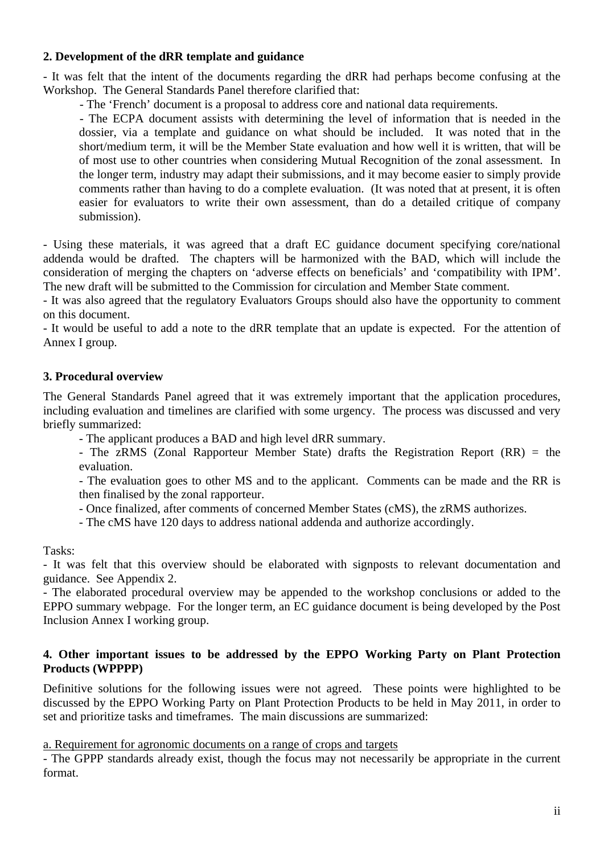## **2. Development of the dRR template and guidance**

- It was felt that the intent of the documents regarding the dRR had perhaps become confusing at the Workshop. The General Standards Panel therefore clarified that:

- The 'French' document is a proposal to address core and national data requirements.

 - The ECPA document assists with determining the level of information that is needed in the dossier, via a template and guidance on what should be included. It was noted that in the short/medium term, it will be the Member State evaluation and how well it is written, that will be of most use to other countries when considering Mutual Recognition of the zonal assessment. In the longer term, industry may adapt their submissions, and it may become easier to simply provide comments rather than having to do a complete evaluation. (It was noted that at present, it is often easier for evaluators to write their own assessment, than do a detailed critique of company submission).

- Using these materials, it was agreed that a draft EC guidance document specifying core/national addenda would be drafted. The chapters will be harmonized with the BAD, which will include the consideration of merging the chapters on 'adverse effects on beneficials' and 'compatibility with IPM'. The new draft will be submitted to the Commission for circulation and Member State comment.

- It was also agreed that the regulatory Evaluators Groups should also have the opportunity to comment on this document.

- It would be useful to add a note to the dRR template that an update is expected. For the attention of Annex I group.

## **3. Procedural overview**

The General Standards Panel agreed that it was extremely important that the application procedures, including evaluation and timelines are clarified with some urgency. The process was discussed and very briefly summarized:

- The applicant produces a BAD and high level dRR summary.

- The zRMS (Zonal Rapporteur Member State) drafts the Registration Report (RR) = the evaluation.

- The evaluation goes to other MS and to the applicant. Comments can be made and the RR is then finalised by the zonal rapporteur.

- Once finalized, after comments of concerned Member States (cMS), the zRMS authorizes.

- The cMS have 120 days to address national addenda and authorize accordingly.

Tasks:

- It was felt that this overview should be elaborated with signposts to relevant documentation and guidance. See Appendix 2.

- The elaborated procedural overview may be appended to the workshop conclusions or added to the EPPO summary webpage. For the longer term, an EC guidance document is being developed by the Post Inclusion Annex I working group.

#### **4. Other important issues to be addressed by the EPPO Working Party on Plant Protection Products (WPPPP)**

Definitive solutions for the following issues were not agreed. These points were highlighted to be discussed by the EPPO Working Party on Plant Protection Products to be held in May 2011, in order to set and prioritize tasks and timeframes. The main discussions are summarized:

a. Requirement for agronomic documents on a range of crops and targets

- The GPPP standards already exist, though the focus may not necessarily be appropriate in the current format.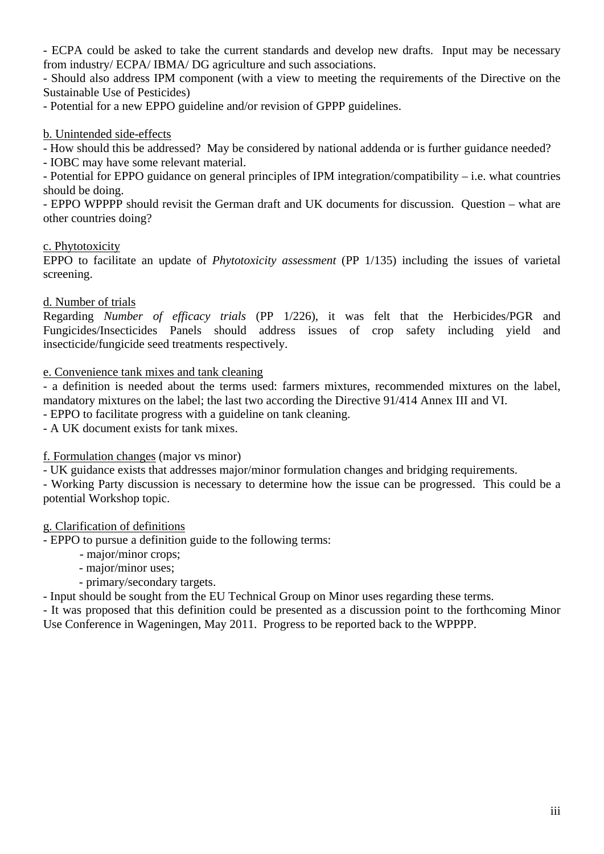- ECPA could be asked to take the current standards and develop new drafts. Input may be necessary from industry/ ECPA/ IBMA/ DG agriculture and such associations.

- Should also address IPM component (with a view to meeting the requirements of the Directive on the Sustainable Use of Pesticides)

- Potential for a new EPPO guideline and/or revision of GPPP guidelines.

### b. Unintended side-effects

- How should this be addressed? May be considered by national addenda or is further guidance needed?

- IOBC may have some relevant material.

- Potential for EPPO guidance on general principles of IPM integration/compatibility – i.e. what countries should be doing.

- EPPO WPPPP should revisit the German draft and UK documents for discussion. Question – what are other countries doing?

## c. Phytotoxicity

EPPO to facilitate an update of *Phytotoxicity assessment* (PP 1/135) including the issues of varietal screening.

## d. Number of trials

Regarding *Number of efficacy trials* (PP 1/226), it was felt that the Herbicides/PGR and Fungicides/Insecticides Panels should address issues of crop safety including yield and insecticide/fungicide seed treatments respectively.

### e. Convenience tank mixes and tank cleaning

- a definition is needed about the terms used: farmers mixtures, recommended mixtures on the label, mandatory mixtures on the label; the last two according the Directive 91/414 Annex III and VI.

- EPPO to facilitate progress with a guideline on tank cleaning.

- A UK document exists for tank mixes.

f. Formulation changes (major vs minor)

- UK guidance exists that addresses major/minor formulation changes and bridging requirements.

- Working Party discussion is necessary to determine how the issue can be progressed. This could be a potential Workshop topic.

### g. Clarification of definitions

- EPPO to pursue a definition guide to the following terms:

- major/minor crops;
- major/minor uses;
- primary/secondary targets.

- Input should be sought from the EU Technical Group on Minor uses regarding these terms.

- It was proposed that this definition could be presented as a discussion point to the forthcoming Minor Use Conference in Wageningen, May 2011. Progress to be reported back to the WPPPP.